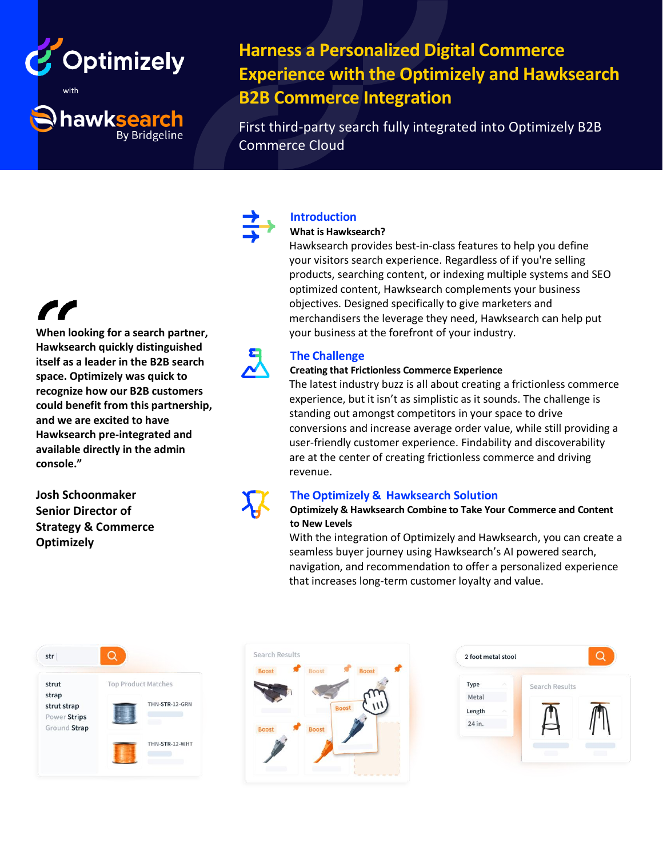

hawksearch

**By Bridgeline** 

**Harness a Personalized Digital Commerce Experience with the Optimizely and Hawksearch B2B Commerce Integration**

First third-party search fully integrated into Optimizely B2B Commerce Cloud

**When looking for a search partner, Hawksearch quickly distinguished itself as a leader in the B2B search space. Optimizely was quick to recognize how our B2B customers could benefit from this partnership, and we are excited to have Hawksearch pre-integrated and available directly in the admin console."**

**Josh Schoonmaker Senior Director of Strategy & Commerce Optimizely**

# **Introduction**

## **What is Hawksearch?**

Hawksearch provides best-in-class features to help you define your visitors search experience. Regardless of if you're selling products, searching content, or indexing multiple systems and SEO optimized content, Hawksearch complements your business objectives. Designed specifically to give marketers and merchandisers the leverage they need, Hawksearch can help put your business at the forefront of your industry.

# **The Challenge**

## **Creating that Frictionless Commerce Experience**

The latest industry buzz is all about creating a frictionless commerce experience, but it isn't as simplistic as it sounds. The challenge is standing out amongst competitors in your space to drive conversions and increase average order value, while still providing a user-friendly customer experience. Findability and discoverability are at the center of creating frictionless commerce and driving revenue.

# **The Optimizely & Hawksearch Solution**

## **Optimizely & Hawksearch Combine to Take Your Commerce and Content to New Levels**

With the integration of Optimizely and Hawksearch, you can create a seamless buyer journey using Hawksearch's AI powered search, navigation, and recommendation to offer a personalized experience that increases long-term customer loyalty and value.